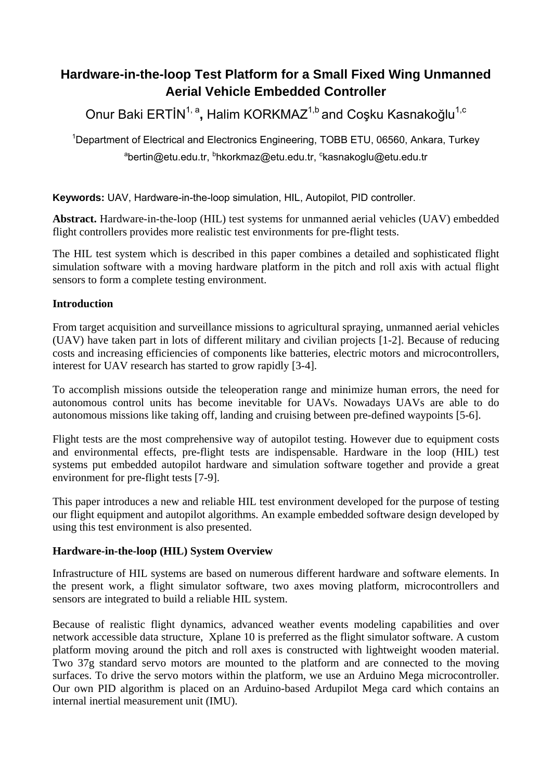# **Hardware-in-the-loop Test Platform for a Small Fixed Wing Unmanned Aerial Vehicle Embedded Controller**

Onur Baki ERTİN<sup>1, a</sup>, Halim KORKMAZ<sup>1,b</sup> and Coşku Kasnakoğlu<sup>1,c</sup>

<sup>1</sup>Department of Electrical and Electronics Engineering, TOBB ETU, 06560, Ankara, Turkey <sup>a</sup>bertin@etu.edu.tr, <sup>b</sup>hkorkmaz@etu.edu.tr, <sup>c</sup>kasnakoglu@etu.edu.tr

**Keywords:** UAV, Hardware-in-the-loop simulation, HIL, Autopilot, PID controller.

**Abstract.** Hardware-in-the-loop (HIL) test systems for unmanned aerial vehicles (UAV) embedded flight controllers provides more realistic test environments for pre-flight tests.

The HIL test system which is described in this paper combines a detailed and sophisticated flight simulation software with a moving hardware platform in the pitch and roll axis with actual flight sensors to form a complete testing environment.

# **Introduction**

From target acquisition and surveillance missions to agricultural spraying, unmanned aerial vehicles (UAV) have taken part in lots of different military and civilian projects [1-2]. Because of reducing costs and increasing efficiencies of components like batteries, electric motors and microcontrollers, interest for UAV research has started to grow rapidly [3-4].

To accomplish missions outside the teleoperation range and minimize human errors, the need for autonomous control units has become inevitable for UAVs. Nowadays UAVs are able to do autonomous missions like taking off, landing and cruising between pre-defined waypoints [5-6].

Flight tests are the most comprehensive way of autopilot testing. However due to equipment costs and environmental effects, pre-flight tests are indispensable. Hardware in the loop (HIL) test systems put embedded autopilot hardware and simulation software together and provide a great environment for pre-flight tests [7-9].

This paper introduces a new and reliable HIL test environment developed for the purpose of testing our flight equipment and autopilot algorithms. An example embedded software design developed by using this test environment is also presented.

# **Hardware-in-the-loop (HIL) System Overview**

Infrastructure of HIL systems are based on numerous different hardware and software elements. In the present work, a flight simulator software, two axes moving platform, microcontrollers and sensors are integrated to build a reliable HIL system.

Because of realistic flight dynamics, advanced weather events modeling capabilities and over network accessible data structure, Xplane 10 is preferred as the flight simulator software. A custom platform moving around the pitch and roll axes is constructed with lightweight wooden material. Two 37g standard servo motors are mounted to the platform and are connected to the moving surfaces. To drive the servo motors within the platform, we use an Arduino Mega microcontroller. Our own PID algorithm is placed on an Arduino-based Ardupilot Mega card which contains an internal inertial measurement unit (IMU).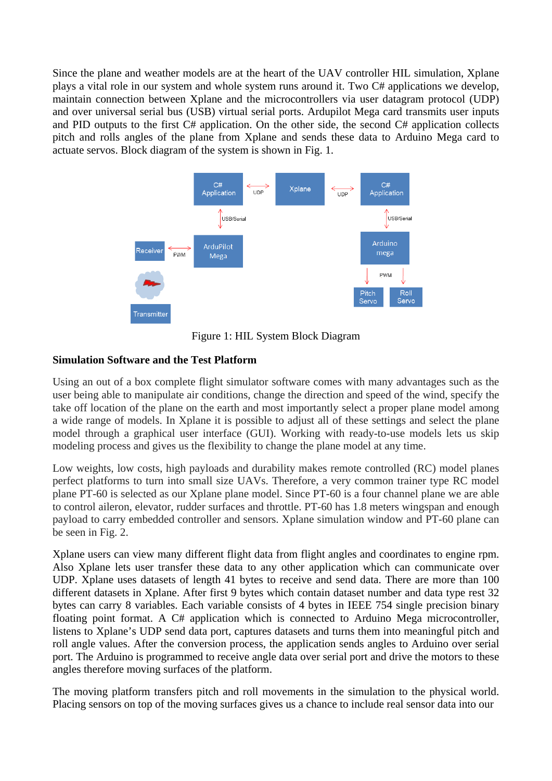Since the plane and weather models are at the heart of the UAV controller HIL simulation, Xplane plays a vital role in our system and whole system runs around it. Two C# applications we develop, maintain connection between Xplane and the microcontrollers via user datagram protocol (UDP) and over universal serial bus (USB) virtual serial ports. Ardupilot Mega card transmits user inputs and PID outputs to the first C# application. On the other side, the second C# application collects pitch and rolls angles of the plane from Xplane and sends these data to Arduino Mega card to actuate servos. Block diagram of the system is shown in Fig. 1.



Figure 1: HIL System Block Diagram

# **Simulation Software and the Test Platform**

Using an out of a box complete flight simulator software comes with many advantages such as the user being able to manipulate air conditions, change the direction and speed of the wind, specify the take off location of the plane on the earth and most importantly select a proper plane model among a wide range of models. In Xplane it is possible to adjust all of these settings and select the plane model through a graphical user interface (GUI). Working with ready-to-use models lets us skip modeling process and gives us the flexibility to change the plane model at any time.

Low weights, low costs, high payloads and durability makes remote controlled (RC) model planes perfect platforms to turn into small size UAVs. Therefore, a very common trainer type RC model plane PT-60 is selected as our Xplane plane model. Since PT-60 is a four channel plane we are able to control aileron, elevator, rudder surfaces and throttle. PT-60 has 1.8 meters wingspan and enough payload to carry embedded controller and sensors. Xplane simulation window and PT-60 plane can be seen in Fig. 2.

Xplane users can view many different flight data from flight angles and coordinates to engine rpm. Also Xplane lets user transfer these data to any other application which can communicate over UDP. Xplane uses datasets of length 41 bytes to receive and send data. There are more than 100 different datasets in Xplane. After first 9 bytes which contain dataset number and data type rest 32 bytes can carry 8 variables. Each variable consists of 4 bytes in IEEE 754 single precision binary floating point format. A C# application which is connected to Arduino Mega microcontroller, listens to Xplane's UDP send data port, captures datasets and turns them into meaningful pitch and roll angle values. After the conversion process, the application sends angles to Arduino over serial port. The Arduino is programmed to receive angle data over serial port and drive the motors to these angles therefore moving surfaces of the platform.

The moving platform transfers pitch and roll movements in the simulation to the physical world. Placing sensors on top of the moving surfaces gives us a chance to include real sensor data into our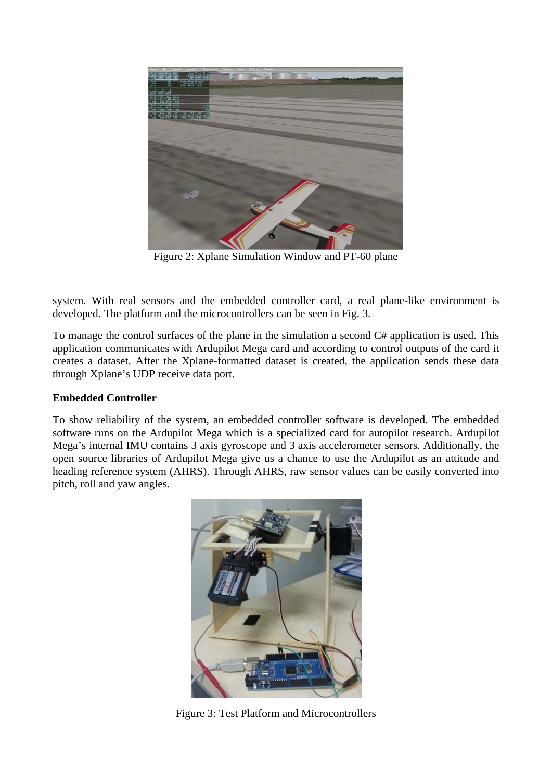

Figure 2: Xplane Simulation Window and PT-60 plane

system. With real sensors and the embedded controller card, a real plane-like environment is developed. The platform and the microcontrollers can be seen in Fig. 3.

To manage the control surfaces of the plane in the simulation a second C# application is used. This application communicates with Ardupilot Mega card and according to control outputs of the card it creates a dataset. After the Xplane-formatted dataset is created, the application sends these data through Xplane's UDP receive data port.

# **Embedded Controller**

To show reliability of the system, an embedded controller software is developed. The embedded software runs on the Ardupilot Mega which is a specialized card for autopilot research. Ardupilot Mega's internal IMU contains 3 axis gyroscope and 3 axis accelerometer sensors. Additionally, the open source libraries of Ardupilot Mega give us a chance to use the Ardupilot as an attitude and heading reference system (AHRS). Through AHRS, raw sensor values can be easily converted into pitch, roll and yaw angles.



Figure 3: Test Platform and Microcontrollers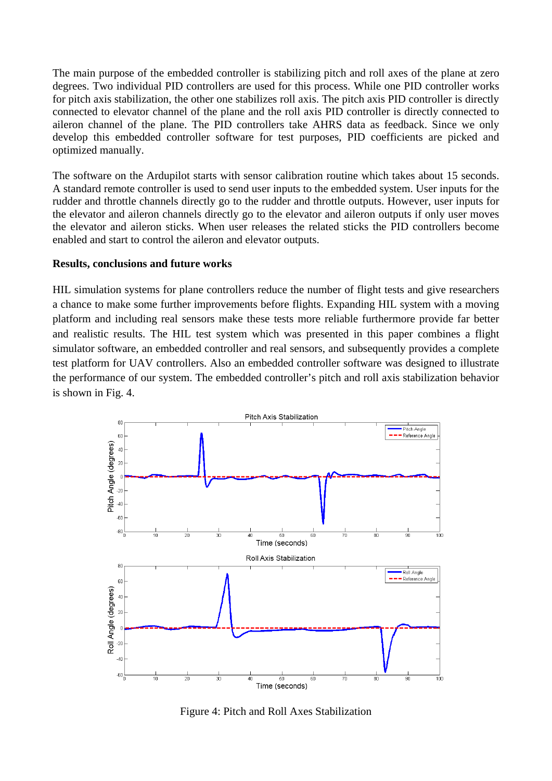The main purpose of the embedded controller is stabilizing pitch and roll axes of the plane at zero degrees. Two individual PID controllers are used for this process. While one PID controller works for pitch axis stabilization, the other one stabilizes roll axis. The pitch axis PID controller is directly connected to elevator channel of the plane and the roll axis PID controller is directly connected to aileron channel of the plane. The PID controllers take AHRS data as feedback. Since we only develop this embedded controller software for test purposes, PID coefficients are picked and optimized manually.

The software on the Ardupilot starts with sensor calibration routine which takes about 15 seconds. A standard remote controller is used to send user inputs to the embedded system. User inputs for the rudder and throttle channels directly go to the rudder and throttle outputs. However, user inputs for the elevator and aileron channels directly go to the elevator and aileron outputs if only user moves the elevator and aileron sticks. When user releases the related sticks the PID controllers become enabled and start to control the aileron and elevator outputs.

#### **Results, conclusions and future works**

HIL simulation systems for plane controllers reduce the number of flight tests and give researchers a chance to make some further improvements before flights. Expanding HIL system with a moving platform and including real sensors make these tests more reliable furthermore provide far better and realistic results. The HIL test system which was presented in this paper combines a flight simulator software, an embedded controller and real sensors, and subsequently provides a complete test platform for UAV controllers. Also an embedded controller software was designed to illustrate the performance of our system. The embedded controller's pitch and roll axis stabilization behavior is shown in Fig. 4.



Figure 4: Pitch and Roll Axes Stabilization